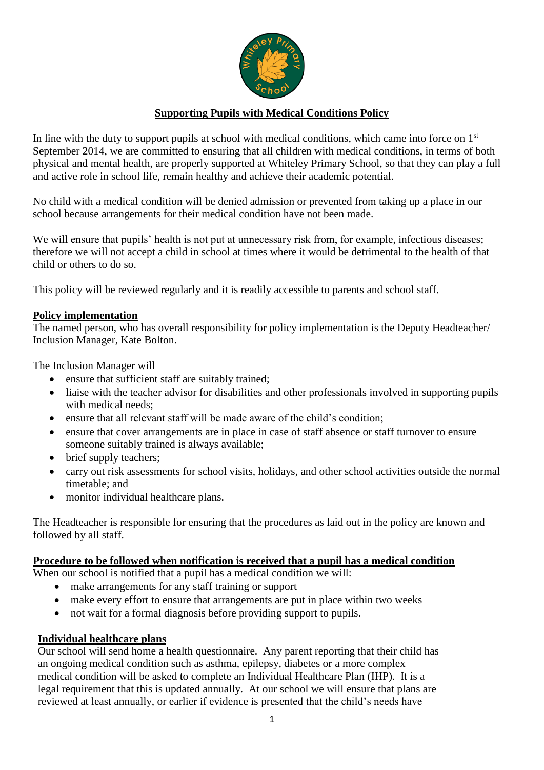

# **Supporting Pupils with Medical Conditions Policy**

In line with the duty to support pupils at school with medical conditions, which came into force on  $1<sup>st</sup>$ September 2014, we are committed to ensuring that all children with medical conditions, in terms of both physical and mental health, are properly supported at Whiteley Primary School, so that they can play a full and active role in school life, remain healthy and achieve their academic potential.

No child with a medical condition will be denied admission or prevented from taking up a place in our school because arrangements for their medical condition have not been made.

We will ensure that pupils' health is not put at unnecessary risk from, for example, infectious diseases; therefore we will not accept a child in school at times where it would be detrimental to the health of that child or others to do so.

This policy will be reviewed regularly and it is readily accessible to parents and school staff.

#### **Policy implementation**

The named person, who has overall responsibility for policy implementation is the Deputy Headteacher/ Inclusion Manager, Kate Bolton.

The Inclusion Manager will

- ensure that sufficient staff are suitably trained;
- liaise with the teacher advisor for disabilities and other professionals involved in supporting pupils with medical needs;
- ensure that all relevant staff will be made aware of the child's condition;
- ensure that cover arrangements are in place in case of staff absence or staff turnover to ensure someone suitably trained is always available;
- brief supply teachers;
- carry out risk assessments for school visits, holidays, and other school activities outside the normal timetable; and
- monitor individual healthcare plans.

The Headteacher is responsible for ensuring that the procedures as laid out in the policy are known and followed by all staff.

#### **Procedure to be followed when notification is received that a pupil has a medical condition**

When our school is notified that a pupil has a medical condition we will:

- make arrangements for any staff training or support
- make every effort to ensure that arrangements are put in place within two weeks
- not wait for a formal diagnosis before providing support to pupils.

### **Individual healthcare plans**

Our school will send home a health questionnaire. Any parent reporting that their child has an ongoing medical condition such as asthma, epilepsy, diabetes or a more complex medical condition will be asked to complete an Individual Healthcare Plan (IHP). It is a legal requirement that this is updated annually. At our school we will ensure that plans are reviewed at least annually, or earlier if evidence is presented that the child's needs have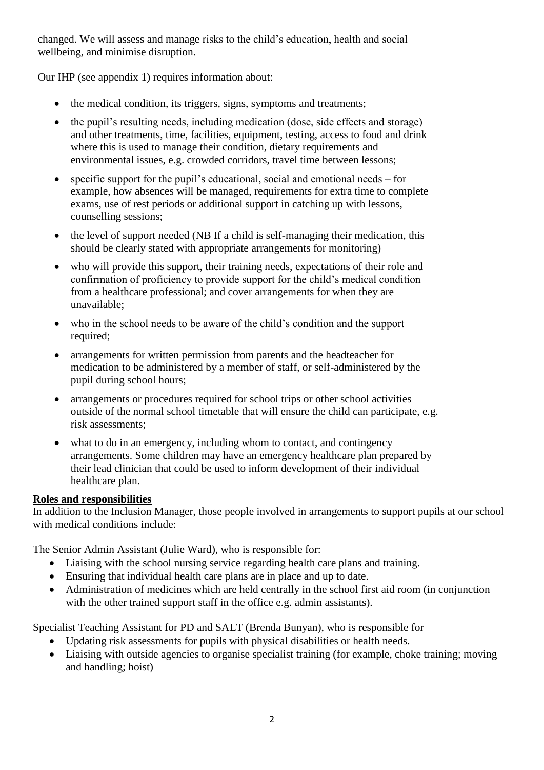changed. We will assess and manage risks to the child's education, health and social wellbeing, and minimise disruption.

Our IHP (see appendix 1) requires information about:

- the medical condition, its triggers, signs, symptoms and treatments;
- the pupil's resulting needs, including medication (dose, side effects and storage) and other treatments, time, facilities, equipment, testing, access to food and drink where this is used to manage their condition, dietary requirements and environmental issues, e.g. crowded corridors, travel time between lessons;
- specific support for the pupil's educational, social and emotional needs for example, how absences will be managed, requirements for extra time to complete exams, use of rest periods or additional support in catching up with lessons, counselling sessions;
- the level of support needed (NB If a child is self-managing their medication, this should be clearly stated with appropriate arrangements for monitoring)
- who will provide this support, their training needs, expectations of their role and confirmation of proficiency to provide support for the child's medical condition from a healthcare professional; and cover arrangements for when they are unavailable;
- who in the school needs to be aware of the child's condition and the support required:
- arrangements for written permission from parents and the headteacher for medication to be administered by a member of staff, or self-administered by the pupil during school hours;
- arrangements or procedures required for school trips or other school activities outside of the normal school timetable that will ensure the child can participate, e.g. risk assessments;
- what to do in an emergency, including whom to contact, and contingency arrangements. Some children may have an emergency healthcare plan prepared by their lead clinician that could be used to inform development of their individual healthcare plan.

### **Roles and responsibilities**

In addition to the Inclusion Manager, those people involved in arrangements to support pupils at our school with medical conditions include:

The Senior Admin Assistant (Julie Ward), who is responsible for:

- Liaising with the school nursing service regarding health care plans and training.
- Ensuring that individual health care plans are in place and up to date.
- Administration of medicines which are held centrally in the school first aid room (in conjunction with the other trained support staff in the office e.g. admin assistants).

Specialist Teaching Assistant for PD and SALT (Brenda Bunyan), who is responsible for

- Updating risk assessments for pupils with physical disabilities or health needs.
- Liaising with outside agencies to organise specialist training (for example, choke training; moving and handling; hoist)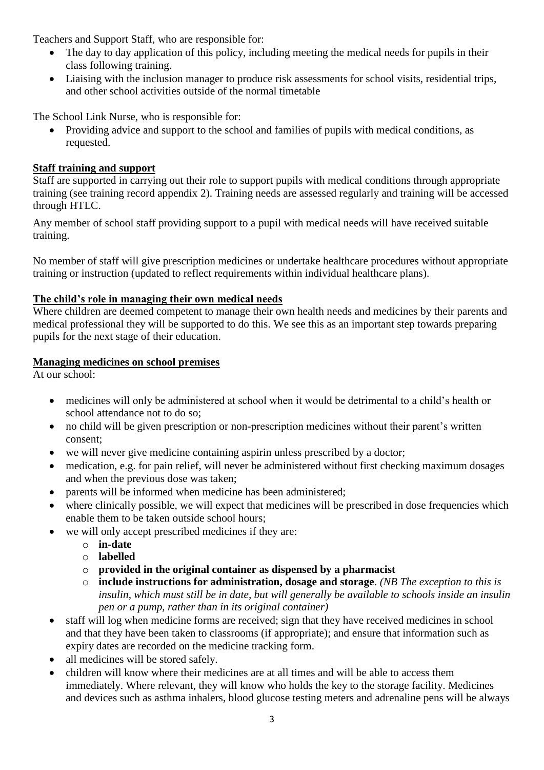Teachers and Support Staff, who are responsible for:

- The day to day application of this policy, including meeting the medical needs for pupils in their class following training.
- Liaising with the inclusion manager to produce risk assessments for school visits, residential trips, and other school activities outside of the normal timetable

The School Link Nurse, who is responsible for:

 Providing advice and support to the school and families of pupils with medical conditions, as requested.

# **Staff training and support**

Staff are supported in carrying out their role to support pupils with medical conditions through appropriate training (see training record appendix 2). Training needs are assessed regularly and training will be accessed through HTLC.

Any member of school staff providing support to a pupil with medical needs will have received suitable training.

No member of staff will give prescription medicines or undertake healthcare procedures without appropriate training or instruction (updated to reflect requirements within individual healthcare plans).

# **The child's role in managing their own medical needs**

Where children are deemed competent to manage their own health needs and medicines by their parents and medical professional they will be supported to do this. We see this as an important step towards preparing pupils for the next stage of their education.

# **Managing medicines on school premises**

At our school:

- medicines will only be administered at school when it would be detrimental to a child's health or school attendance not to do so;
- no child will be given prescription or non-prescription medicines without their parent's written consent;
- we will never give medicine containing aspirin unless prescribed by a doctor;
- medication, e.g. for pain relief, will never be administered without first checking maximum dosages and when the previous dose was taken;
- parents will be informed when medicine has been administered;
- where clinically possible, we will expect that medicines will be prescribed in dose frequencies which enable them to be taken outside school hours;
- we will only accept prescribed medicines if they are:
	- o **in-date**
	- o **labelled**
	- o **provided in the original container as dispensed by a pharmacist**
	- o **include instructions for administration, dosage and storage**. *(NB The exception to this is insulin, which must still be in date, but will generally be available to schools inside an insulin pen or a pump, rather than in its original container)*
- staff will log when medicine forms are received; sign that they have received medicines in school and that they have been taken to classrooms (if appropriate); and ensure that information such as expiry dates are recorded on the medicine tracking form.
- all medicines will be stored safely.
- children will know where their medicines are at all times and will be able to access them immediately. Where relevant, they will know who holds the key to the storage facility. Medicines and devices such as asthma inhalers, blood glucose testing meters and adrenaline pens will be always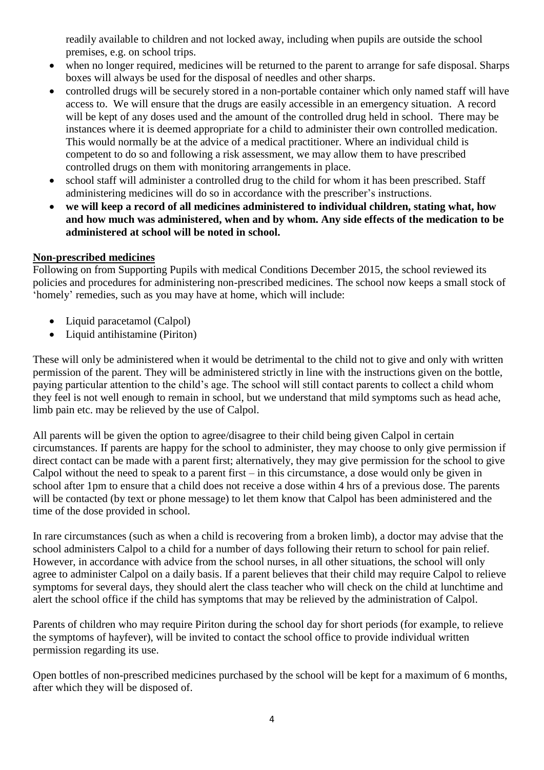readily available to children and not locked away, including when pupils are outside the school premises, e.g. on school trips.

- when no longer required, medicines will be returned to the parent to arrange for safe disposal. Sharps boxes will always be used for the disposal of needles and other sharps.
- controlled drugs will be securely stored in a non-portable container which only named staff will have access to. We will ensure that the drugs are easily accessible in an emergency situation. A record will be kept of any doses used and the amount of the controlled drug held in school. There may be instances where it is deemed appropriate for a child to administer their own controlled medication. This would normally be at the advice of a medical practitioner. Where an individual child is competent to do so and following a risk assessment, we may allow them to have prescribed controlled drugs on them with monitoring arrangements in place.
- school staff will administer a controlled drug to the child for whom it has been prescribed. Staff administering medicines will do so in accordance with the prescriber's instructions.
- **we will keep a record of all medicines administered to individual children, stating what, how and how much was administered, when and by whom. Any side effects of the medication to be administered at school will be noted in school.**

# **Non-prescribed medicines**

Following on from Supporting Pupils with medical Conditions December 2015, the school reviewed its policies and procedures for administering non-prescribed medicines. The school now keeps a small stock of 'homely' remedies, such as you may have at home, which will include:

- Liquid paracetamol (Calpol)
- Liquid antihistamine (Piriton)

These will only be administered when it would be detrimental to the child not to give and only with written permission of the parent. They will be administered strictly in line with the instructions given on the bottle, paying particular attention to the child's age. The school will still contact parents to collect a child whom they feel is not well enough to remain in school, but we understand that mild symptoms such as head ache, limb pain etc. may be relieved by the use of Calpol.

All parents will be given the option to agree/disagree to their child being given Calpol in certain circumstances. If parents are happy for the school to administer, they may choose to only give permission if direct contact can be made with a parent first; alternatively, they may give permission for the school to give Calpol without the need to speak to a parent first – in this circumstance, a dose would only be given in school after 1pm to ensure that a child does not receive a dose within 4 hrs of a previous dose. The parents will be contacted (by text or phone message) to let them know that Calpol has been administered and the time of the dose provided in school.

In rare circumstances (such as when a child is recovering from a broken limb), a doctor may advise that the school administers Calpol to a child for a number of days following their return to school for pain relief. However, in accordance with advice from the school nurses, in all other situations, the school will only agree to administer Calpol on a daily basis. If a parent believes that their child may require Calpol to relieve symptoms for several days, they should alert the class teacher who will check on the child at lunchtime and alert the school office if the child has symptoms that may be relieved by the administration of Calpol.

Parents of children who may require Piriton during the school day for short periods (for example, to relieve the symptoms of hayfever), will be invited to contact the school office to provide individual written permission regarding its use.

Open bottles of non-prescribed medicines purchased by the school will be kept for a maximum of 6 months, after which they will be disposed of.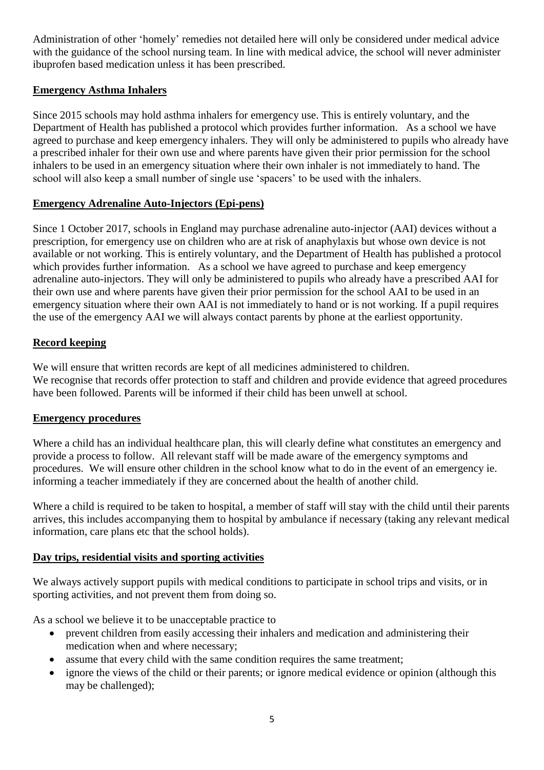Administration of other 'homely' remedies not detailed here will only be considered under medical advice with the guidance of the school nursing team. In line with medical advice, the school will never administer ibuprofen based medication unless it has been prescribed.

# **Emergency Asthma Inhalers**

Since 2015 schools may hold asthma inhalers for emergency use. This is entirely voluntary, and the Department of Health has published a protocol which provides further information. As a school we have agreed to purchase and keep emergency inhalers. They will only be administered to pupils who already have a prescribed inhaler for their own use and where parents have given their prior permission for the school inhalers to be used in an emergency situation where their own inhaler is not immediately to hand. The school will also keep a small number of single use 'spacers' to be used with the inhalers.

# **Emergency Adrenaline Auto-Injectors (Epi-pens)**

Since 1 October 2017, schools in England may purchase adrenaline auto-injector (AAI) devices without a prescription, for emergency use on children who are at risk of anaphylaxis but whose own device is not available or not working. This is entirely voluntary, and the Department of Health has published a protocol which provides further information. As a school we have agreed to purchase and keep emergency adrenaline auto-injectors. They will only be administered to pupils who already have a prescribed AAI for their own use and where parents have given their prior permission for the school AAI to be used in an emergency situation where their own AAI is not immediately to hand or is not working. If a pupil requires the use of the emergency AAI we will always contact parents by phone at the earliest opportunity.

### **Record keeping**

We will ensure that written records are kept of all medicines administered to children. We recognise that records offer protection to staff and children and provide evidence that agreed procedures have been followed. Parents will be informed if their child has been unwell at school.

### **Emergency procedures**

Where a child has an individual healthcare plan, this will clearly define what constitutes an emergency and provide a process to follow. All relevant staff will be made aware of the emergency symptoms and procedures. We will ensure other children in the school know what to do in the event of an emergency ie. informing a teacher immediately if they are concerned about the health of another child.

Where a child is required to be taken to hospital, a member of staff will stay with the child until their parents arrives, this includes accompanying them to hospital by ambulance if necessary (taking any relevant medical information, care plans etc that the school holds).

### **Day trips, residential visits and sporting activities**

We always actively support pupils with medical conditions to participate in school trips and visits, or in sporting activities, and not prevent them from doing so.

As a school we believe it to be unacceptable practice to

- prevent children from easily accessing their inhalers and medication and administering their medication when and where necessary;
- assume that every child with the same condition requires the same treatment;
- ignore the views of the child or their parents; or ignore medical evidence or opinion (although this may be challenged);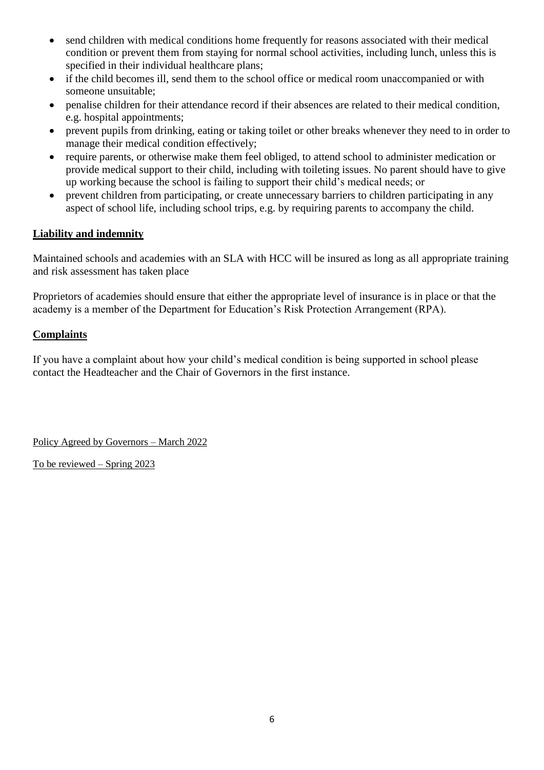- send children with medical conditions home frequently for reasons associated with their medical condition or prevent them from staying for normal school activities, including lunch, unless this is specified in their individual healthcare plans;
- if the child becomes ill, send them to the school office or medical room unaccompanied or with someone unsuitable;
- penalise children for their attendance record if their absences are related to their medical condition, e.g. hospital appointments;
- prevent pupils from drinking, eating or taking toilet or other breaks whenever they need to in order to manage their medical condition effectively;
- require parents, or otherwise make them feel obliged, to attend school to administer medication or provide medical support to their child, including with toileting issues. No parent should have to give up working because the school is failing to support their child's medical needs; or
- prevent children from participating, or create unnecessary barriers to children participating in any aspect of school life, including school trips, e.g. by requiring parents to accompany the child.

# **Liability and indemnity**

Maintained schools and academies with an SLA with HCC will be insured as long as all appropriate training and risk assessment has taken place

Proprietors of academies should ensure that either the appropriate level of insurance is in place or that the academy is a member of the Department for Education's Risk Protection Arrangement (RPA).

### **Complaints**

If you have a complaint about how your child's medical condition is being supported in school please contact the Headteacher and the Chair of Governors in the first instance.

Policy Agreed by Governors – March 2022

To be reviewed – Spring 2023